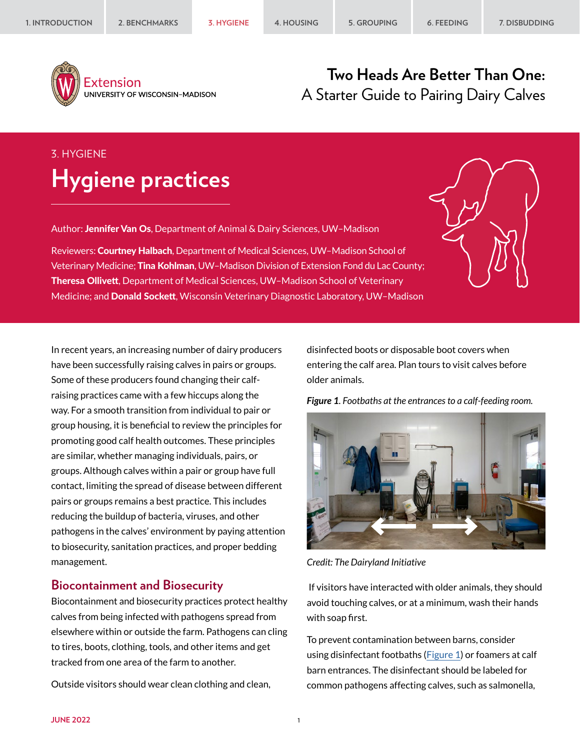

Extension UNIVERSITY OF WISCONSIN-MADISON

## **Two Heads Are Better Than One:** A Starter Guide to Pairing Dairy Calves

# 3. HYGIENE **Hygiene practices**

Author: Jennifer Van Os, Department of Animal & Dairy Sciences, UW-Madison

Reviewers: Courtney Halbach, Department of Medical Sciences, UW-Madison School of Veterinary Medicine; Tina Kohlman, UW-Madison Division of Extension Fond du Lac County; Theresa Ollivett, Department of Medical Sciences, UW–Madison School of Veterinary Medicine; and Donald Sockett, Wisconsin Veterinary Diagnostic Laboratory, UW–Madison

In recent years, an increasing number of dairy producers have been successfully raising calves in pairs or groups. Some of these producers found changing their calfraising practices came with a few hiccups along the way. For a smooth transition from individual to pair or group housing, it is beneficial to review the principles for promoting good calf health outcomes. These principles are similar, whether managing individuals, pairs, or groups. Although calves within a pair or group have full contact, limiting the spread of disease between different pairs or groups remains a best practice. This includes reducing the buildup of bacteria, viruses, and other pathogens in the calves' environment by paying attention to biosecurity, sanitation practices, and proper bedding management.

#### **Biocontainment and Biosecurity**

Biocontainment and biosecurity practices protect healthy calves from being infected with pathogens spread from elsewhere within or outside the farm. Pathogens can cling to tires, boots, clothing, tools, and other items and get tracked from one area of the farm to another.

Outside visitors should wear clean clothing and clean,

disinfected boots or disposable boot covers when entering the calf area. Plan tours to visit calves before older animals.

<span id="page-0-0"></span>*Figure 1. Footbaths at the entrances to a calf-feeding room.*



*Credit: The Dairyland Initiative*

 If visitors have interacted with older animals, they should avoid touching calves, or at a minimum, wash their hands with soap first.

To prevent contamination between barns, consider using disinfectant footbaths [\(Figure 1](#page-0-0)) or foamers at calf barn entrances. The disinfectant should be labeled for common pathogens affecting calves, such as salmonella,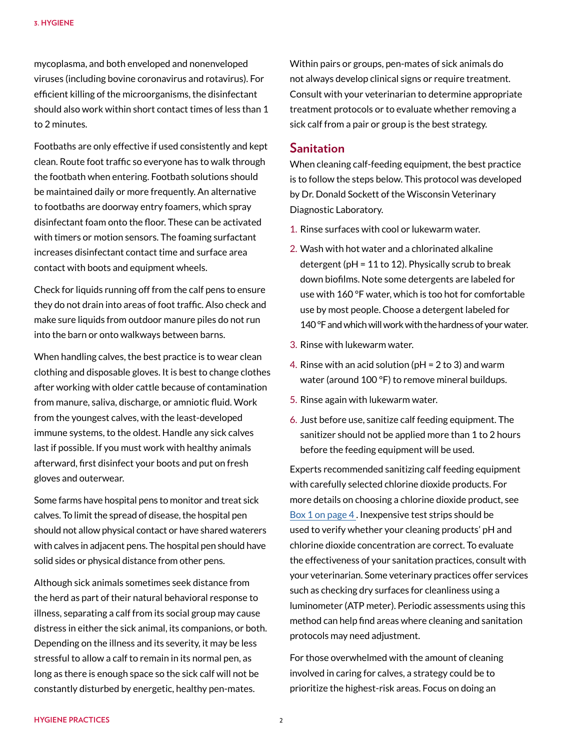mycoplasma, and both enveloped and nonenveloped viruses (including bovine coronavirus and rotavirus). For efficient killing of the microorganisms, the disinfectant should also work within short contact times of less than 1 to 2 minutes.

Footbaths are only effective if used consistently and kept clean. Route foot traffic so everyone has to walk through the footbath when entering. Footbath solutions should be maintained daily or more frequently. An alternative to footbaths are doorway entry foamers, which spray disinfectant foam onto the floor. These can be activated with timers or motion sensors. The foaming surfactant increases disinfectant contact time and surface area contact with boots and equipment wheels.

Check for liquids running off from the calf pens to ensure they do not drain into areas of foot traffic. Also check and make sure liquids from outdoor manure piles do not run into the barn or onto walkways between barns.

When handling calves, the best practice is to wear clean clothing and disposable gloves. It is best to change clothes after working with older cattle because of contamination from manure, saliva, discharge, or amniotic fluid. Work from the youngest calves, with the least-developed immune systems, to the oldest. Handle any sick calves last if possible. If you must work with healthy animals afterward, first disinfect your boots and put on fresh gloves and outerwear.

Some farms have hospital pens to monitor and treat sick calves. To limit the spread of disease, the hospital pen should not allow physical contact or have shared waterers with calves in adjacent pens. The hospital pen should have solid sides or physical distance from other pens.

Although sick animals sometimes seek distance from the herd as part of their natural behavioral response to illness, separating a calf from its social group may cause distress in either the sick animal, its companions, or both. Depending on the illness and its severity, it may be less stressful to allow a calf to remain in its normal pen, as long as there is enough space so the sick calf will not be constantly disturbed by energetic, healthy pen-mates.

Within pairs or groups, pen-mates of sick animals do not always develop clinical signs or require treatment. Consult with your veterinarian to determine appropriate treatment protocols or to evaluate whether removing a sick calf from a pair or group is the best strategy.

#### **Sanitation**

When cleaning calf-feeding equipment, the best practice is to follow the steps below. This protocol was developed by Dr. Donald Sockett of the Wisconsin Veterinary Diagnostic Laboratory.

- 1. Rinse surfaces with cool or lukewarm water.
- 2. Wash with hot water and a chlorinated alkaline detergent ( $pH = 11$  to 12). Physically scrub to break down biofilms. Note some detergents are labeled for use with 160 °F water, which is too hot for comfortable use by most people. Choose a detergent labeled for 140 °F and which will work with the hardness of your water.
- 3. Rinse with lukewarm water.
- 4. Rinse with an acid solution (pH = 2 to 3) and warm water (around 100 °F) to remove mineral buildups.
- 5. Rinse again with lukewarm water.
- 6. Just before use, sanitize calf feeding equipment. The sanitizer should not be applied more than 1 to 2 hours before the feeding equipment will be used.

Experts recommended sanitizing calf feeding equipment with carefully selected chlorine dioxide products. For more details on choosing a chlorine dioxide product, see [Box 1 on page 4](#page-3-0) . Inexpensive test strips should be used to verify whether your cleaning products' pH and chlorine dioxide concentration are correct. To evaluate the effectiveness of your sanitation practices, consult with your veterinarian. Some veterinary practices offer services such as checking dry surfaces for cleanliness using a luminometer (ATP meter). Periodic assessments using this method can help find areas where cleaning and sanitation protocols may need adjustment.

For those overwhelmed with the amount of cleaning involved in caring for calves, a strategy could be to prioritize the highest-risk areas. Focus on doing an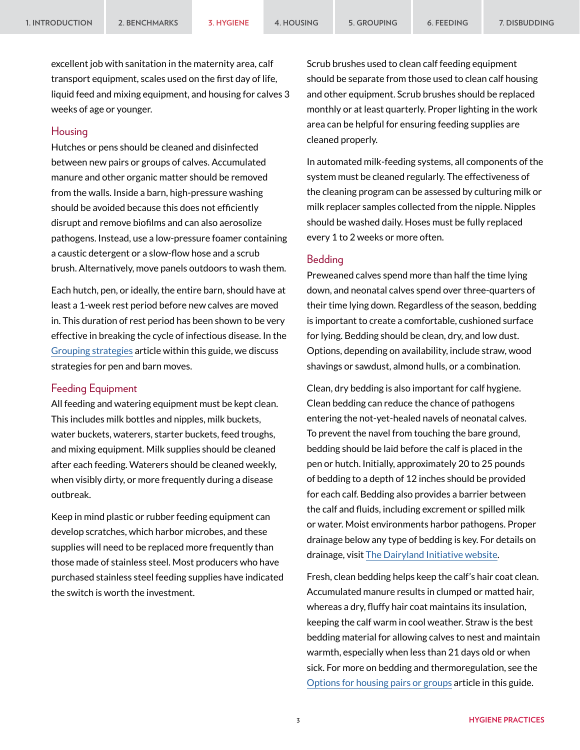excellent job with sanitation in the maternity area, calf transport equipment, scales used on the first day of life, liquid feed and mixing equipment, and housing for calves 3 weeks of age or younger.

#### Housing

Hutches or pens should be cleaned and disinfected between new pairs or groups of calves. Accumulated manure and other organic matter should be removed from the walls. Inside a barn, high-pressure washing should be avoided because this does not efficiently disrupt and remove biofilms and can also aerosolize pathogens. Instead, use a low-pressure foamer containing a caustic detergent or a slow-flow hose and a scrub brush. Alternatively, move panels outdoors to wash them.

Each hutch, pen, or ideally, the entire barn, should have at least a 1-week rest period before new calves are moved in. This duration of rest period has been shown to be very effective in breaking the cycle of infectious disease. In the [Grouping strategies](https://animalwelfare.cals.wisc.edu/wp-content/uploads/sites/243/2022/06/05-grouping.pdf) article within this guide, we discuss strategies for pen and barn moves.

#### Feeding Equipment

All feeding and watering equipment must be kept clean. This includes milk bottles and nipples, milk buckets, water buckets, waterers, starter buckets, feed troughs, and mixing equipment. Milk supplies should be cleaned after each feeding. Waterers should be cleaned weekly, when visibly dirty, or more frequently during a disease outbreak.

Keep in mind plastic or rubber feeding equipment can develop scratches, which harbor microbes, and these supplies will need to be replaced more frequently than those made of stainless steel. Most producers who have purchased stainless steel feeding supplies have indicated the switch is worth the investment.

Scrub brushes used to clean calf feeding equipment should be separate from those used to clean calf housing and other equipment. Scrub brushes should be replaced monthly or at least quarterly. Proper lighting in the work area can be helpful for ensuring feeding supplies are cleaned properly.

In automated milk-feeding systems, all components of the system must be cleaned regularly. The effectiveness of the cleaning program can be assessed by culturing milk or milk replacer samples collected from the nipple. Nipples should be washed daily. Hoses must be fully replaced every 1 to 2 weeks or more often.

#### Bedding

Preweaned calves spend more than half the time lying down, and neonatal calves spend over three-quarters of their time lying down. Regardless of the season, bedding is important to create a comfortable, cushioned surface for lying. Bedding should be clean, dry, and low dust. Options, depending on availability, include straw, wood shavings or sawdust, almond hulls, or a combination.

Clean, dry bedding is also important for calf hygiene. Clean bedding can reduce the chance of pathogens entering the not-yet-healed navels of neonatal calves. To prevent the navel from touching the bare ground, bedding should be laid before the calf is placed in the pen or hutch. Initially, approximately 20 to 25 pounds of bedding to a depth of 12 inches should be provided for each calf. Bedding also provides a barrier between the calf and fluids, including excrement or spilled milk or water. Moist environments harbor pathogens. Proper drainage below any type of bedding is key. For details on drainage, visit [The Dairyland Initiative website](https://thedairylandinitiative.vetmed.wisc.edu/home/housing-module/replacement-housing/key-features-for-all-calf-barns/).

Fresh, clean bedding helps keep the calf's hair coat clean. Accumulated manure results in clumped or matted hair, whereas a dry, fluffy hair coat maintains its insulation, keeping the calf warm in cool weather. Straw is the best bedding material for allowing calves to nest and maintain warmth, especially when less than 21 days old or when sick. For more on bedding and thermoregulation, see the [Options for housing pairs or groups](https://animalwelfare.cals.wisc.edu/wp-content/uploads/sites/243/2022/06/04-housing.pdf) article in this guide.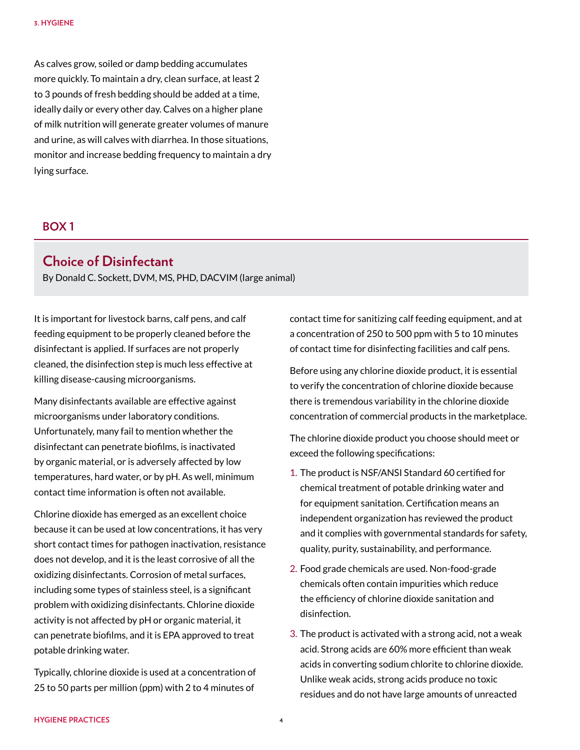As calves grow, soiled or damp bedding accumulates more quickly. To maintain a dry, clean surface, at least 2 to 3 pounds of fresh bedding should be added at a time, ideally daily or every other day. Calves on a higher plane of milk nutrition will generate greater volumes of manure and urine, as will calves with diarrhea. In those situations, monitor and increase bedding frequency to maintain a dry lying surface.

#### <span id="page-3-0"></span>**BOX 1**

### **Choice of Disinfectant**

By Donald C. Sockett, DVM, MS, PHD, DACVIM (large animal)

It is important for livestock barns, calf pens, and calf feeding equipment to be properly cleaned before the disinfectant is applied. If surfaces are not properly cleaned, the disinfection step is much less effective at killing disease-causing microorganisms.

Many disinfectants available are effective against microorganisms under laboratory conditions. Unfortunately, many fail to mention whether the disinfectant can penetrate biofilms, is inactivated by organic material, or is adversely affected by low temperatures, hard water, or by pH. As well, minimum contact time information is often not available.

Chlorine dioxide has emerged as an excellent choice because it can be used at low concentrations, it has very short contact times for pathogen inactivation, resistance does not develop, and it is the least corrosive of all the oxidizing disinfectants. Corrosion of metal surfaces, including some types of stainless steel, is a significant problem with oxidizing disinfectants. Chlorine dioxide activity is not affected by pH or organic material, it can penetrate biofilms, and it is EPA approved to treat potable drinking water.

Typically, chlorine dioxide is used at a concentration of 25 to 50 parts per million (ppm) with 2 to 4 minutes of

contact time for sanitizing calf feeding equipment, and at a concentration of 250 to 500 ppm with 5 to 10 minutes of contact time for disinfecting facilities and calf pens.

Before using any chlorine dioxide product, it is essential to verify the concentration of chlorine dioxide because there is tremendous variability in the chlorine dioxide concentration of commercial products in the marketplace.

The chlorine dioxide product you choose should meet or exceed the following specifications:

- 1. The product is NSF/ANSI Standard 60 certified for chemical treatment of potable drinking water and for equipment sanitation. Certification means an independent organization has reviewed the product and it complies with governmental standards for safety, quality, purity, sustainability, and performance.
- 2. Food grade chemicals are used. Non-food-grade chemicals often contain impurities which reduce the efficiency of chlorine dioxide sanitation and disinfection.
- 3. The product is activated with a strong acid, not a weak acid. Strong acids are 60% more efficient than weak acids in converting sodium chlorite to chlorine dioxide. Unlike weak acids, strong acids produce no toxic residues and do not have large amounts of unreacted